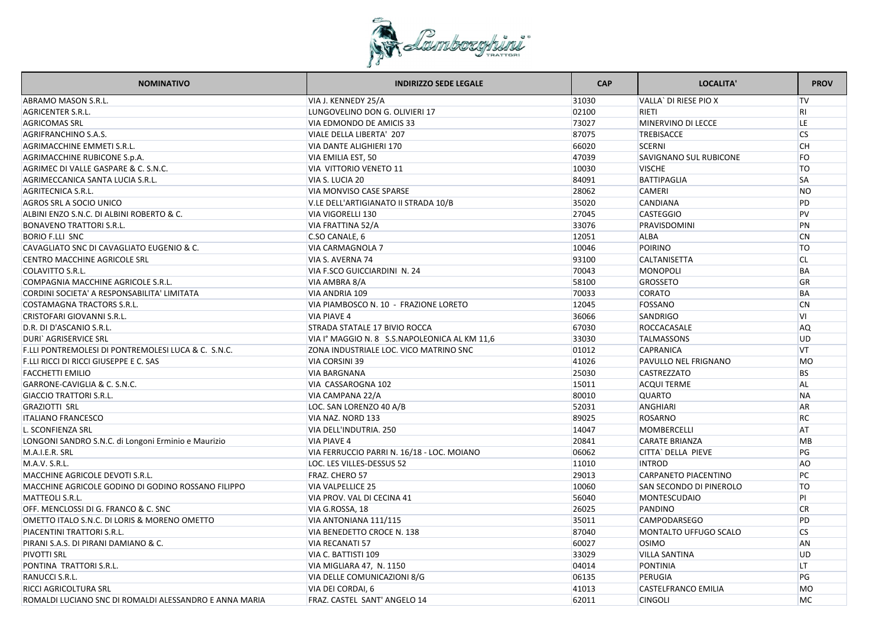

| <b>NOMINATIVO</b>                                                              |                                               | <b>CAP</b> | LOCALITA'                      | <b>PROV</b>            |
|--------------------------------------------------------------------------------|-----------------------------------------------|------------|--------------------------------|------------------------|
| <b>ABRAMO MASON S.R.L.</b><br>VIA J. KENNEDY 25/A                              |                                               | 31030      | VALLA' DI RIESE PIO X          | $\mathsf{TV}$          |
| <b>AGRICENTER S.R.L.</b>                                                       | LUNGOVELINO DON G. OLIVIERI 17                | 02100      | <b>RIETI</b>                   | R <sub>l</sub>         |
| <b>AGRICOMAS SRL</b>                                                           | VIA EDMONDO DE AMICIS 33                      | 73027      | MINERVINO DI LECCE             | LE.                    |
| VIALE DELLA LIBERTA' 207<br><b>AGRIFRANCHINO S.A.S.</b>                        |                                               | 87075      | <b>TREBISACCE</b>              | $\overline{\text{CS}}$ |
| <b>VIA DANTE ALIGHIERI 170</b><br>AGRIMACCHINE EMMETI S.R.L.                   |                                               | 66020      | <b>SCERNI</b>                  | <b>CH</b>              |
| AGRIMACCHINE RUBICONE S.p.A.<br>VIA EMILIA EST, 50                             |                                               | 47039      | <b>SAVIGNANO SUL RUBICONE</b>  | FO                     |
| AGRIMEC DI VALLE GASPARE & C. S.N.C.<br>VIA VITTORIO VENETO 11                 |                                               | 10030      | <b>VISCHE</b>                  | <b>TO</b>              |
| VIA S. LUCIA 20<br>AGRIMECCANICA SANTA LUCIA S.R.L.                            |                                               | 84091      | <b>BATTIPAGLIA</b>             | <b>SA</b>              |
| <b>VIA MONVISO CASE SPARSE</b><br><b>AGRITECNICA S.R.L.</b>                    |                                               | 28062      | <b>CAMERI</b>                  | N <sub>O</sub>         |
| <b>AGROS SRL A SOCIO UNICO</b>                                                 | V.LE DELL'ARTIGIANATO II STRADA 10/B          | 35020      | <b>CANDIANA</b>                | PD                     |
| ALBINI ENZO S.N.C. DI ALBINI ROBERTO & C.<br><b>VIA VIGORELLI 130</b>          |                                               | 27045      | <b>CASTEGGIO</b>               | <b>PV</b>              |
| <b>BONAVENO TRATTORI S.R.L.</b><br>VIA FRATTINA 52/A                           |                                               | 33076      | PRAVISDOMINI                   | PN                     |
| C.SO CANALE, 6<br><b>BORIO F.LLI SNC</b>                                       |                                               | 12051      | <b>ALBA</b>                    | <b>CN</b>              |
| CAVAGLIATO SNC DI CAVAGLIATO EUGENIO & C.<br><b>VIA CARMAGNOLA 7</b>           |                                               | 10046      | <b>POIRINO</b>                 | <b>TO</b>              |
| VIA S. AVERNA 74<br><b>CENTRO MACCHINE AGRICOLE SRL</b>                        |                                               | 93100      | <b>CALTANISETTA</b>            | <b>CL</b>              |
| COLAVITTO S.R.L.                                                               | VIA F.SCO GUICCIARDINI N. 24                  | 70043      | MONOPOLI                       | <b>BA</b>              |
| COMPAGNIA MACCHINE AGRICOLE S.R.L.<br>VIA AMBRA 8/A                            |                                               | 58100      | <b>GROSSETO</b>                | GR                     |
| <b>VIA ANDRIA 109</b><br>CORDINI SOCIETA' A RESPONSABILITA' LIMITATA           |                                               | 70033      | <b>CORATO</b>                  | <b>BA</b>              |
| <b>COSTAMAGNA TRACTORS S.R.L.</b>                                              | VIA PIAMBOSCO N. 10 - FRAZIONE LORETO         | 12045      | FOSSANO                        | CN                     |
| <b>CRISTOFARI GIOVANNI S.R.L.</b><br><b>VIA PIAVE 4</b>                        |                                               | 36066      | <b>SANDRIGO</b>                | <b>VI</b>              |
| D.R. DI D'ASCANIO S.R.L.                                                       | STRADA STATALE 17 BIVIO ROCCA                 | 67030      | ROCCACASALE                    | AQ                     |
| DURI` AGRISERVICE SRL                                                          | VIA I° MAGGIO N. 8 S.S.NAPOLEONICA AL KM 11,6 | 33030      | <b>TALMASSONS</b>              | UD                     |
| F.LLI PONTREMOLESI DI PONTREMOLESI LUCA & C. S.N.C.                            | ZONA INDUSTRIALE LOC. VICO MATRINO SNC        | 01012      | <b>CAPRANICA</b>               | VT                     |
| F.LLI RICCI DI RICCI GIUSEPPE E C. SAS<br><b>VIA CORSINI 39</b>                |                                               | 41026      | <b>PAVULLO NEL FRIGNANO</b>    | MO                     |
| <b>FACCHETTI EMILIO</b><br><b>VIA BARGNANA</b>                                 |                                               | 25030      | <b>CASTREZZATO</b>             | <b>BS</b>              |
| GARRONE-CAVIGLIA & C. S.N.C.<br>VIA CASSAROGNA 102                             |                                               | 15011      | <b>ACQUI TERME</b>             | <b>AL</b>              |
| VIA CAMPANA 22/A<br><b>GIACCIO TRATTORI S.R.L.</b>                             |                                               | 80010      | <b>QUARTO</b>                  | <b>NA</b>              |
| <b>GRAZIOTTI SRL</b><br>LOC. SAN LORENZO 40 A/B                                |                                               | 52031      | <b>ANGHIARI</b>                | <b>AR</b>              |
| <b>ITALIANO FRANCESCO</b><br>VIA NAZ. NORD 133                                 |                                               | 89025      | <b>ROSARNO</b>                 | RC                     |
| L. SCONFIENZA SRL<br>VIA DELL'INDUTRIA. 250                                    |                                               | 14047      | MOMBERCELLI                    | <b>AT</b>              |
| LONGONI SANDRO S.N.C. di Longoni Erminio e Maurizio<br><b>VIA PIAVE 4</b>      |                                               | 20841      | <b>CARATE BRIANZA</b>          | <b>MB</b>              |
| M.A.I.E.R. SRL                                                                 | VIA FERRUCCIO PARRI N. 16/18 - LOC. MOIANO    | 06062      | CITTA` DELLA PIEVE             | PG                     |
| M.A.V. S.R.L.<br>LOC. LES VILLES-DESSUS 52                                     |                                               | 11010      | <b>INTROD</b>                  | AO                     |
| <b>MACCHINE AGRICOLE DEVOTI S.R.L.</b><br>FRAZ. CHERO 57                       |                                               | 29013      | <b>CARPANETO PIACENTINO</b>    | PC                     |
| MACCHINE AGRICOLE GODINO DI GODINO ROSSANO FILIPPO<br><b>VIA VALPELLICE 25</b> |                                               | 10060      | <b>SAN SECONDO DI PINEROLO</b> | <b>TO</b>              |
| MATTEOLI S.R.L.<br>VIA PROV. VAL DI CECINA 41                                  |                                               | 56040      | <b>MONTESCUDAIO</b>            | P <sub>1</sub>         |
| OFF. MENCLOSSI DI G. FRANCO & C. SNC<br>VIA G.ROSSA, 18                        |                                               | 26025      | PANDINO                        | CR                     |
| VIA ANTONIANA 111/115<br>OMETTO ITALO S.N.C. DI LORIS & MORENO OMETTO          |                                               | 35011      | <b>CAMPODARSEGO</b>            | PD                     |
| PIACENTINI TRATTORI S.R.L.                                                     | VIA BENEDETTO CROCE N. 138                    | 87040      | MONTALTO UFFUGO SCALO          | <b>CS</b>              |
| PIRANI S.A.S. DI PIRANI DAMIANO & C.<br><b>VIA RECANATI 57</b>                 |                                               | 60027      | <b>OSIMO</b>                   | <b>AN</b>              |
| <b>PIVOTTI SRL</b><br>VIA C. BATTISTI 109                                      |                                               | 33029      | <b>VILLA SANTINA</b>           | UD                     |
| PONTINA TRATTORI S.R.L.<br>VIA MIGLIARA 47, N. 1150                            |                                               | 04014      | PONTINIA                       | LT.                    |
| RANUCCI S.R.L.                                                                 | VIA DELLE COMUNICAZIONI 8/G                   | 06135      | <b>PERUGIA</b>                 | PG                     |
| VIA DEI CORDAI, 6<br><b>RICCI AGRICOLTURA SRL</b>                              |                                               | 41013      | <b>CASTELFRANCO EMILIA</b>     | <b>MO</b>              |
| ROMALDI LUCIANO SNC DI ROMALDI ALESSANDRO E ANNA MARIA                         | FRAZ. CASTEL SANT' ANGELO 14                  | 62011      | <b>CINGOLI</b>                 | MC                     |